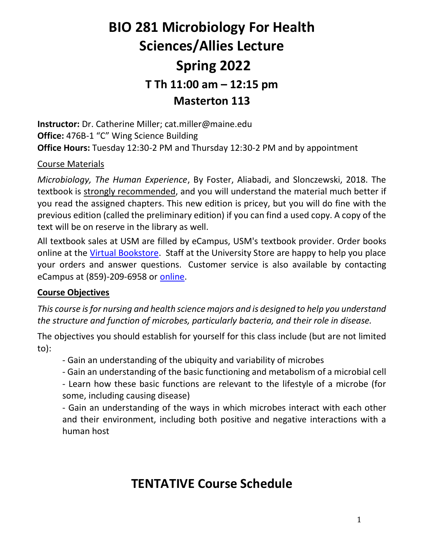# **BIO 281 Microbiology For Health Sciences/Allies Lecture Spring 2022 T Th 11:00 am – 12:15 pm Masterton 113**

**Instructor:** Dr. Catherine Miller; cat.miller@maine.edu **Office:** 476B-1 "C" Wing Science Building **Office Hours:** Tuesday 12:30-2 PM and Thursday 12:30-2 PM and by appointment

#### Course Materials

*Microbiology, The Human Experience*, By Foster, Aliabadi, and Slonczewski, 2018. The textbook is strongly recommended, and you will understand the material much better if you read the assigned chapters. This new edition is pricey, but you will do fine with the previous edition (called the preliminary edition) if you can find a used copy. A copy of the text will be on reserve in the library as well.

All textbook sales at USM are filled by eCampus, USM's textbook provider. Order books online at the [Virtual Bookstore.](https://usm.ecampus.com/) Staff at the University Store are happy to help you place your orders and answer questions. Customer service is also available by contacting eCampus at (859)-209-6958 or [online.](https://usm.ecampus.com/help/contact-us)

#### **Course Objectives**

*This course is for nursing and health science majors and is designed to help you understand the structure and function of microbes, particularly bacteria, and their role in disease.*

The objectives you should establish for yourself for this class include (but are not limited to):

- Gain an understanding of the ubiquity and variability of microbes
- Gain an understanding of the basic functioning and metabolism of a microbial cell

- Learn how these basic functions are relevant to the lifestyle of a microbe (for some, including causing disease)

- Gain an understanding of the ways in which microbes interact with each other and their environment, including both positive and negative interactions with a human host

## **TENTATIVE Course Schedule**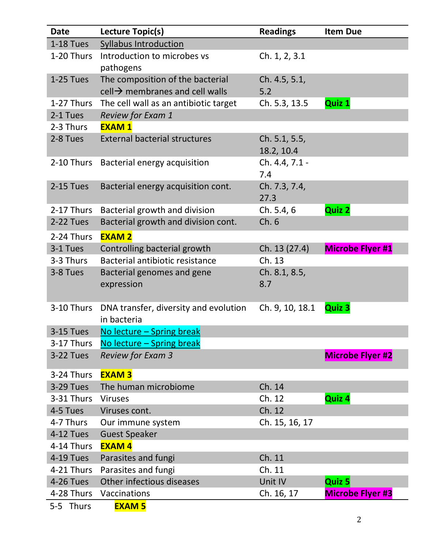| <b>Date</b>             | Lecture Topic(s)                                                                | <b>Readings</b>             | <b>Item Due</b>         |  |
|-------------------------|---------------------------------------------------------------------------------|-----------------------------|-------------------------|--|
| 1-18 Tues               | <b>Syllabus Introduction</b>                                                    |                             |                         |  |
| 1-20 Thurs              | Introduction to microbes vs<br>pathogens                                        | Ch. 1, 2, 3.1               |                         |  |
| 1-25 Tues               | The composition of the bacterial<br>$cell \rightarrow$ membranes and cell walls | Ch. 4.5, 5.1,<br>5.2        |                         |  |
| 1-27 Thurs              | The cell wall as an antibiotic target                                           | Ch. 5.3, 13.5               | <b>Quiz 1</b>           |  |
| 2-1 Tues                | Review for Exam 1                                                               |                             |                         |  |
| 2-3 Thurs               | <b>EXAM1</b>                                                                    |                             |                         |  |
| 2-8 Tues                | <b>External bacterial structures</b>                                            | Ch. 5.1, 5.5,<br>18.2, 10.4 |                         |  |
| 2-10 Thurs              | Bacterial energy acquisition                                                    | Ch. 4.4, 7.1 -<br>7.4       |                         |  |
| 2-15 Tues               | Bacterial energy acquisition cont.                                              | Ch. 7.3, 7.4,<br>27.3       |                         |  |
| 2-17 Thurs              | Bacterial growth and division                                                   | Ch. 5.4, 6                  | <b>Quiz 2</b>           |  |
| 2-22 Tues               | Bacterial growth and division cont.                                             | Ch.6                        |                         |  |
| 2-24 Thurs              | <b>EXAM 2</b>                                                                   |                             |                         |  |
| 3-1 Tues                | Controlling bacterial growth                                                    | Ch. 13 (27.4)               | <b>Microbe Flyer #1</b> |  |
| 3-3 Thurs               | Bacterial antibiotic resistance                                                 | Ch. 13                      |                         |  |
| 3-8 Tues                | Bacterial genomes and gene<br>expression                                        | Ch. 8.1, 8.5,<br>8.7        |                         |  |
| 3-10 Thurs              | DNA transfer, diversity and evolution<br>in bacteria                            | Ch. 9, 10, 18.1             | <b>Quiz 3</b>           |  |
| 3-15 Tues               | No lecture - Spring break                                                       |                             |                         |  |
| 3-17 Thurs              | No lecture - Spring break                                                       |                             |                         |  |
| 3-22 Tues               | <b>Review for Exam 3</b>                                                        |                             | <b>Microbe Flyer #2</b> |  |
| 3-24 Thurs              | <b>EXAM3</b>                                                                    |                             |                         |  |
| 3-29 Tues               | The human microbiome                                                            | Ch. 14                      |                         |  |
| 3-31 Thurs              | <b>Viruses</b>                                                                  | Ch. 12                      | <b>Quiz 4</b>           |  |
| 4-5 Tues                | Viruses cont.                                                                   | Ch. 12                      |                         |  |
| 4-7 Thurs               | Our immune system                                                               | Ch. 15, 16, 17              |                         |  |
| 4-12 Tues               | <b>Guest Speaker</b><br><b>EXAM4</b>                                            |                             |                         |  |
| 4-14 Thurs<br>4-19 Tues |                                                                                 | Ch. 11                      |                         |  |
| 4-21 Thurs              | Parasites and fungi<br>Parasites and fungi                                      | Ch. 11                      |                         |  |
| 4-26 Tues               | Other infectious diseases                                                       | Unit IV                     | Quiz <sub>5</sub>       |  |
| 4-28 Thurs              | Vaccinations                                                                    | Ch. 16, 17                  | <b>Microbe Flyer #3</b> |  |
| 5-5 Thurs               | <b>EXAM 5</b>                                                                   |                             |                         |  |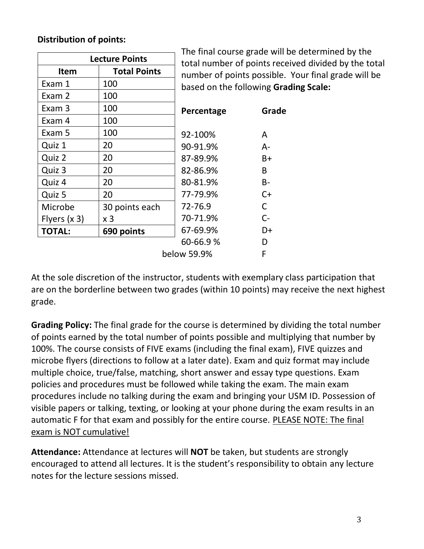### **Distribution of points:**

|                       |                     |                                                      | The final course grade will be determined by the |  |
|-----------------------|---------------------|------------------------------------------------------|--------------------------------------------------|--|
| <b>Lecture Points</b> |                     | total number of points received divided by the total |                                                  |  |
| Item                  | <b>Total Points</b> | number of points possible. Your final grade will be  |                                                  |  |
| Exam 1                | 100                 | based on the following Grading Scale:                |                                                  |  |
| Exam 2                | 100                 |                                                      |                                                  |  |
| Exam 3                | 100                 | Percentage                                           | Grade                                            |  |
| Exam 4                | 100                 |                                                      |                                                  |  |
| Exam 5                | 100                 | 92-100%                                              | A                                                |  |
| Quiz 1                | 20                  | 90-91.9%                                             | $A -$                                            |  |
| Quiz 2                | 20                  | 87-89.9%                                             | $B+$                                             |  |
| Quiz 3                | 20                  | 82-86.9%                                             | B                                                |  |
| Quiz 4                | 20                  | 80-81.9%                                             | $B -$                                            |  |
| Quiz 5                | 20                  | 77-79.9%                                             | $C+$                                             |  |
| Microbe               | 30 points each      | 72-76.9                                              | C                                                |  |
| Flyers $(x 3)$        | x <sub>3</sub>      | 70-71.9%                                             | $C-$                                             |  |
| <b>TOTAL:</b>         | 690 points          | 67-69.9%                                             | D+                                               |  |
|                       |                     | 60-66.9%                                             | D                                                |  |
|                       |                     | below 59.9%                                          | F                                                |  |

At the sole discretion of the instructor, students with exemplary class participation that are on the borderline between two grades (within 10 points) may receive the next highest grade.

**Grading Policy:** The final grade for the course is determined by dividing the total number of points earned by the total number of points possible and multiplying that number by 100%. The course consists of FIVE exams (including the final exam), FIVE quizzes and microbe flyers (directions to follow at a later date). Exam and quiz format may include multiple choice, true/false, matching, short answer and essay type questions. Exam policies and procedures must be followed while taking the exam. The main exam procedures include no talking during the exam and bringing your USM ID. Possession of visible papers or talking, texting, or looking at your phone during the exam results in an automatic F for that exam and possibly for the entire course. PLEASE NOTE: The final exam is NOT cumulative!

**Attendance:** Attendance at lectures will **NOT** be taken, but students are strongly encouraged to attend all lectures. It is the student's responsibility to obtain any lecture notes for the lecture sessions missed.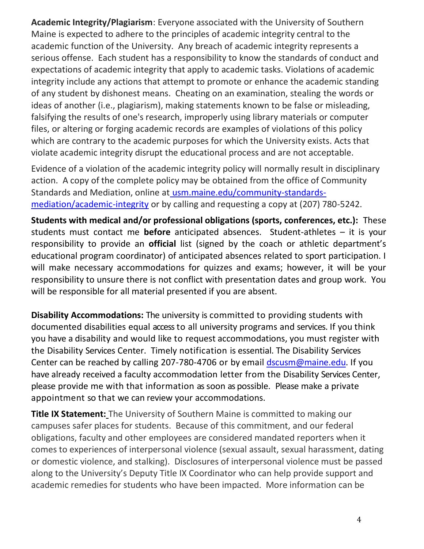**Academic Integrity/Plagiarism**: Everyone associated with the University of Southern Maine is expected to adhere to the principles of academic integrity central to the academic function of the University. Any breach of academic integrity represents a serious offense. Each student has a responsibility to know the standards of conduct and expectations of academic integrity that apply to academic tasks. Violations of academic integrity include any actions that attempt to promote or enhance the academic standing of any student by dishonest means. Cheating on an examination, stealing the words or ideas of another (i.e., plagiarism), making statements known to be false or misleading, falsifying the results of one's research, improperly using library materials or computer files, or altering or forging academic records are examples of violations of this policy which are contrary to the academic purposes for which the University exists. Acts that violate academic integrity disrupt the educational process and are not acceptable.

Evidence of a violation of the academic integrity policy will normally result in disciplinary action. A copy of the complete policy may be obtained from the office of Community Standards and Mediation, online at [usm.maine.edu/community-standards](http://usm.maine.edu/community-standards-mediation/academic-integrity)[mediation/academic-integrity](http://usm.maine.edu/community-standards-mediation/academic-integrity) or by calling and requesting a copy at (207) 780-5242.

**Students with medical and/or professional obligations (sports, conferences, etc.):**These students must contact me **before** anticipated absences. Student-athletes – it is your responsibility to provide an **official** list (signed by the coach or athletic department's educational program coordinator) of anticipated absences related to sport participation. I will make necessary accommodations for quizzes and exams; however, it will be your responsibility to unsure there is not conflict with presentation dates and group work. You will be responsible for all material presented if you are absent.

**Disability Accommodations:** The university is committed to providing students with documented disabilities equal accessto all university programs and services. If you think you have a disability and would like to request accommodations, you must register with the Disability Services Center. Timely notification is essential. The Disability Services Center can be reached by calling 207-780-4706 or by email [dscusm@maine.edu.](mailto:dscusm@maine.edu) If you have already received a faculty accommodation letter from the Disability Services Center, please provide me with that information assoon as possible. Please make a private appointment so that we can review your accommodations.

**Title IX Statement:** The University of Southern Maine is committed to making our campuses safer places for students. Because of this commitment, and our federal obligations, faculty and other employees are considered mandated reporters when it comes to experiences of interpersonal violence (sexual assault, sexual harassment, dating or domestic violence, and stalking). Disclosures of interpersonal violence must be passed along to the University's Deputy Title IX Coordinator who can help provide support and academic remedies for students who have been impacted. More information can be